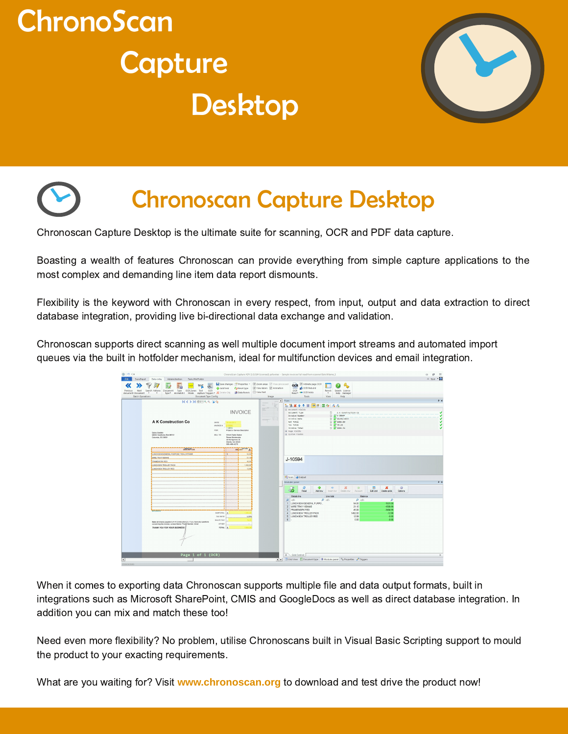





# **Chronoscan Capture Desktop**

Chronoscan Capture Desktop is the ultimate suite for scanning, OCR and PDF data capture.

Boasting a wealth of features Chronoscan can provide everything from simple capture applications to the most complex and demanding line item data report dismounts.

Flexibility is the keyword with Chronoscan in every respect, from input, output and data extraction to direct database integration, providing live bi-directional data exchange and validation.

Chronoscan supports direct scanning as well multiple document import streams and automated import queues via the built in hotfolder mechanism, ideal for multifunction devices and email integration.

| $017 - 14$                            |                                                                                                                                                                                                                                                                 |                                                                                                                                                                                                                                                                                                     | ChronoScan Capture ADV (1.0.0.84 Licensed) pafowkes - Sample invoices full read from scanner/BatchName_1                                                                                                                                                                                                                                                                     | a<br>22<br>U         |
|---------------------------------------|-----------------------------------------------------------------------------------------------------------------------------------------------------------------------------------------------------------------------------------------------------------------|-----------------------------------------------------------------------------------------------------------------------------------------------------------------------------------------------------------------------------------------------------------------------------------------------------|------------------------------------------------------------------------------------------------------------------------------------------------------------------------------------------------------------------------------------------------------------------------------------------------------------------------------------------------------------------------------|----------------------|
| File<br>Scan/Input                    | Data entry<br>Administration<br>Tasks/Motffolder                                                                                                                                                                                                                |                                                                                                                                                                                                                                                                                                     |                                                                                                                                                                                                                                                                                                                                                                              | △ Style ●            |
| Previous<br>Next<br>document Document | E,<br>text<br><b>Type</b><br>OCR Zones Text<br>Search Actions<br>Document<br>$\rightarrow$<br><b>Batch Operations</b>                                                                                                                                           | Save changes " Properties "<br><b>STO</b><br>alle Add field<br><b>Ca</b> Reset type<br>OCR<br>type* mismatch! Mode capture Trippers* & Delete Obj ( Data Panels<br>Document Type Config                                                                                                             | Zoom areas View processed<br>OCR Activate page OCR<br>V Wew labels V Animation<br>al OCR Rebuild<br><b>OCR</b><br>Panels<br>Search License<br>Wew Text<br>Read - CCR fields<br>٠<br>help manager<br>Inage<br>Tools<br>View<br>Help                                                                                                                                           |                      |
|                                       | <b>KKYXIBERRIN</b>                                                                                                                                                                                                                                              |                                                                                                                                                                                                                                                                                                     | $\sim$ Form                                                                                                                                                                                                                                                                                                                                                                  | $4 \times$           |
|                                       | <b>A K Construction Co</b><br>Sabra Uyetaka<br>98830 Hawthorne Blvd #6101<br>Columbia, SC 29201<br><b>DESERVATION</b><br>LUNCH BOAXSENERAL PURPOSE TROLLY/FRAME<br>WIRE TRAYP100X440<br><b>FRAMEWORK RED</b><br>LUNCH BOX TROLLEY PACK<br>LUNCH BOX TROLLEY RED | <b>INVOICE</b><br>DATE:<br><b>INVOICE #</b><br><b>Sydness</b><br>FOR:<br>Project or Service Description<br>BILL TO:<br>Wrant Radio Station<br>Renea Monterubio<br>26 Montgomery St<br>Atlanta, GA 33328<br>585-498-4278<br>AMOUN<br>A<br>NT.<br>54,00<br>21,100<br>45.00<br>ŦЭ<br>1.452.00<br>12,09 | も出業ます 国内部 固存 ある<br><b>Mark</b><br>E.<br>□ Document Fields<br><b>Q</b> A K Construction Co<br>Document Type<br>$72.293 - 10594$<br>Invoice Number<br>$\Box$ $\frac{OCL}{2}$ 19/01/2013<br>Invoice Date<br>C 000 1585.00<br>Net Total<br>□ 25* 79.15<br>Tax Total<br>□ 27 1664.34<br>Invoice Total<br>(@ Page Fields<br>(i) System rields<br>J-10594                           | v<br>$\sqrt{2}$<br>v |
|                                       |                                                                                                                                                                                                                                                                 |                                                                                                                                                                                                                                                                                                     | Form @ Output                                                                                                                                                                                                                                                                                                                                                                |                      |
|                                       |                                                                                                                                                                                                                                                                 |                                                                                                                                                                                                                                                                                                     | Modules panel<br>æ<br>Ф<br>$\bullet$<br>×<br>$\circ$<br>м<br>w<br>ŵ<br>Read<br>Edit and<br>Options<br>Add row<br>Account.<br>Delete grids<br>Insert row<br>Delete row<br>Details line<br>Line total<br>Balance<br>$\rho$ ab<br>$\rho$ ab<br>$\rho$ al:<br>R<br>LUNCH BOX/GENERAL PURPO.<br>54.00<br>$-1531.09$<br>$\mathbf{1}$<br>2 WIRE TRAY/100X440<br>21.10<br>$-1509.99$ | <b>PX</b>            |
|                                       | <b>COMPANY</b><br>Make all checks payable to A K Construction Co. If you have any questions<br>concerning this invoice, contact Name, Phone Number, Email<br>THANK YOU FOR YOUR BUSINESS!                                                                       | SUBTOTAL<br><b>TAX RATE</b><br>5.00%<br>SALES TAX<br>OTHER<br>TOTAL                                                                                                                                                                                                                                 | 45.00<br>$-1464.99$<br>$\overline{3}$<br>FRAMEWORK RED<br>4 LUNCH BOX TROLLEY PACK<br>1452.00<br>$-12.99$<br>5 LUNCH BOX TROLLEY RED<br>12.99<br>$-0.00$<br>$\sqrt{6}$<br>0.00<br>$-0.00$                                                                                                                                                                                    |                      |
|                                       | Page 1 of 1 (OCR)                                                                                                                                                                                                                                               |                                                                                                                                                                                                                                                                                                     |                                                                                                                                                                                                                                                                                                                                                                              |                      |
|                                       |                                                                                                                                                                                                                                                                 |                                                                                                                                                                                                                                                                                                     | $d \setminus$ Grid Control                                                                                                                                                                                                                                                                                                                                                   | ÷.                   |

When it comes to exporting data Chronoscan supports multiple file and data output formats, built in integrations such as Microsoft SharePoint, CMIS and GoogleDocs as well as direct database integration. In addition you can mix and match these too!

Need even more flexibility? No problem, utilise Chronoscans built in Visual Basic Scripting support to mould the product to your exacting requirements.

What are you waiting for? Visit www.chronoscan.org to download and test drive the product now!